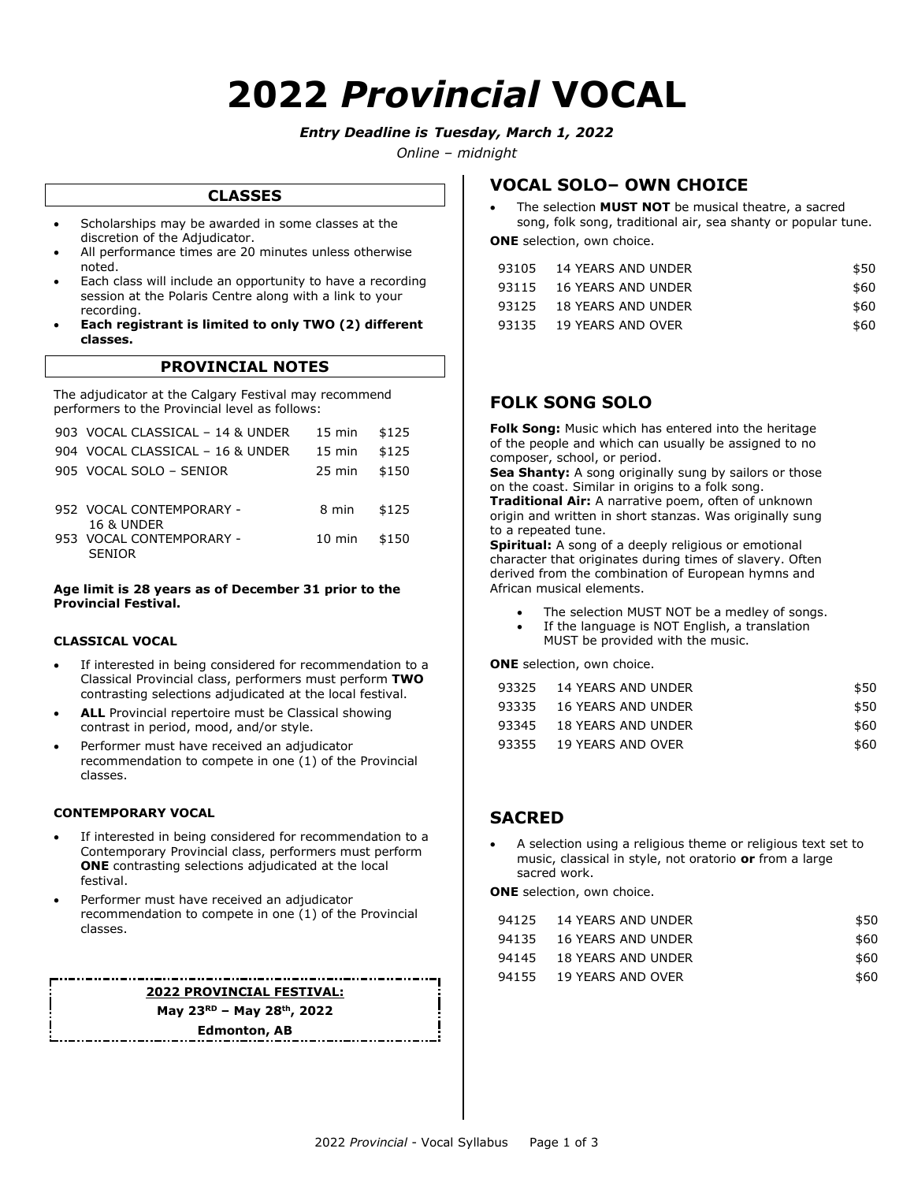# **2022** *Provincial* **VOCAL**

#### *Entry Deadline is Tuesday, March 1, 2022*

*Online – midnight*

#### **CLASSES**

- Scholarships may be awarded in some classes at the discretion of the Adjudicator.
- All performance times are 20 minutes unless otherwise noted.
- Each class will include an opportunity to have a recording session at the Polaris Centre along with a link to your recording.
- **Each registrant is limited to only TWO (2) different classes.**

#### **PROVINCIAL NOTES**

The adjudicator at the Calgary Festival may recommend performers to the Provincial level as follows:

| 903 VOCAL CLASSICAL - 14 & UNDER                  | $15 \text{ min}$ | \$125 |
|---------------------------------------------------|------------------|-------|
| 904 VOCAL CLASSICAL - 16 & UNDER                  | $15 \text{ min}$ | \$125 |
| 905 VOCAL SOLO - SENIOR                           | $25 \text{ min}$ | \$150 |
| 952 VOCAL CONTEMPORARY -<br><b>16 &amp; UNDER</b> | 8 min            | \$125 |
| 953 VOCAL CONTEMPORARY -<br><b>SENIOR</b>         | 10 min           | \$150 |

#### **Age limit is 28 years as of December 31 prior to the Provincial Festival.**

#### **CLASSICAL VOCAL**

- If interested in being considered for recommendation to a Classical Provincial class, performers must perform **TWO**  contrasting selections adjudicated at the local festival.
- **ALL** Provincial repertoire must be Classical showing contrast in period, mood, and/or style.
- Performer must have received an adjudicator recommendation to compete in one (1) of the Provincial classes.

#### **CONTEMPORARY VOCAL**

- If interested in being considered for recommendation to a Contemporary Provincial class, performers must perform **ONE** contrasting selections adjudicated at the local festival.
- Performer must have received an adjudicator recommendation to compete in one (1) of the Provincial classes.

#### **2022 PROVINCIAL FESTIVAL: May 23 RD – May 28th, 2022**

**Edmonton, AB**

#### **VOCAL SOLO– OWN CHOICE**

 The selection **MUST NOT** be musical theatre, a sacred song, folk song, traditional air, sea shanty or popular tune.

**ONE** selection, own choice.

| 93105 14 YEARS AND UNDER | \$50 |
|--------------------------|------|
| 93115 16 YEARS AND UNDER | \$60 |
| 93125 18 YEARS AND UNDER | \$60 |
| 93135 19 YEARS AND OVER  | \$60 |

#### **FOLK SONG SOLO**

**Folk Song:** Music which has entered into the heritage of the people and which can usually be assigned to no composer, school, or period.

**Sea Shanty:** A song originally sung by sailors or those on the coast. Similar in origins to a folk song. **Traditional Air:** A narrative poem, often of unknown origin and written in short stanzas. Was originally sung to a repeated tune.

**Spiritual:** A song of a deeply religious or emotional character that originates during times of slavery. Often derived from the combination of European hymns and African musical elements.

- The selection MUST NOT be a medley of songs.
- If the language is NOT English, a translation MUST be provided with the music.

**ONE** selection, own choice.

| 93325 14 YEARS AND UNDER | \$50 |
|--------------------------|------|
| 93335 16 YEARS AND UNDER | \$50 |
| 93345 18 YEARS AND UNDER | \$60 |
| 93355 19 YEARS AND OVER  | \$60 |

#### **SACRED**

 A selection using a religious theme or religious text set to music, classical in style, not oratorio **or** from a large sacred work.

**ONE** selection, own choice.

| 94125 14 YEARS AND UNDER | \$50 |
|--------------------------|------|
| 94135 16 YEARS AND UNDER | \$60 |
| 94145 18 YEARS AND UNDER | \$60 |
| 94155 19 YEARS AND OVER  | \$60 |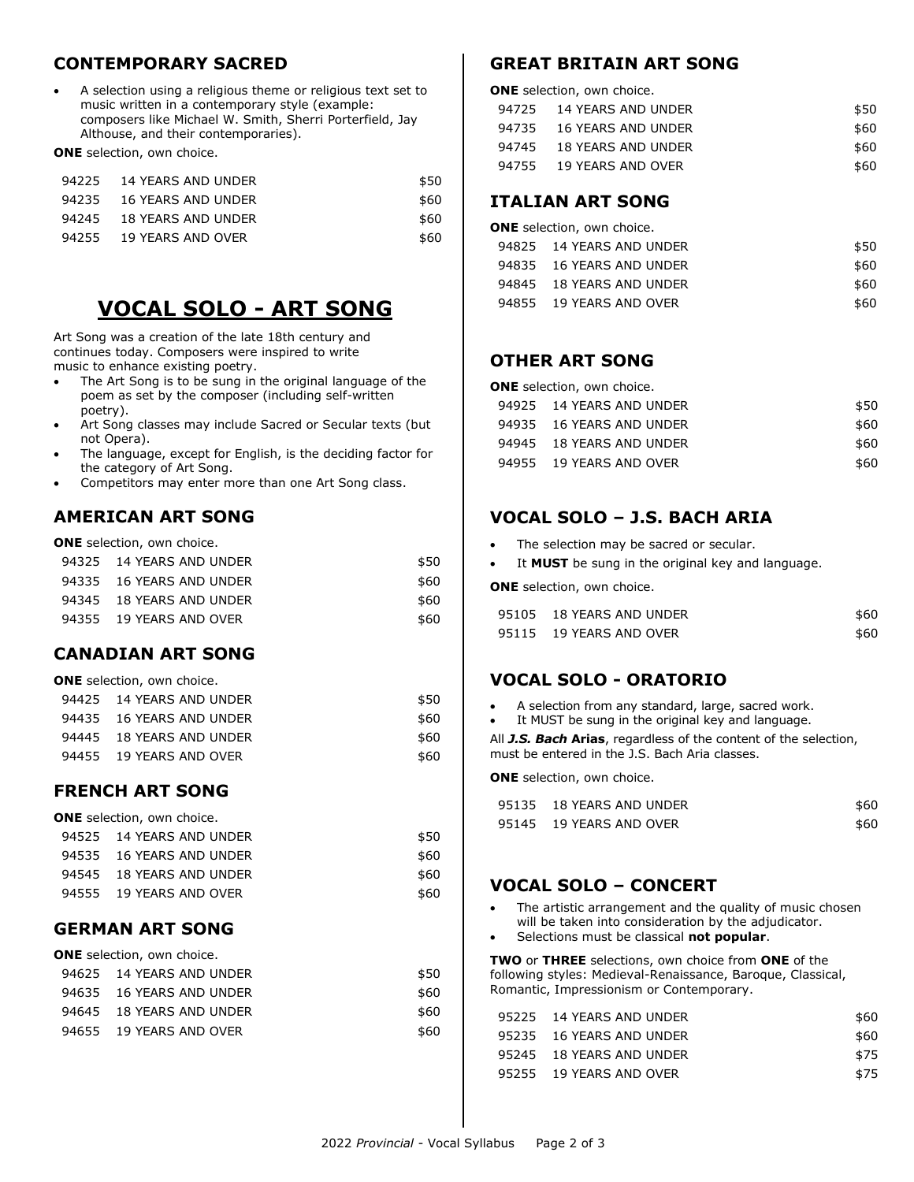#### **CONTEMPORARY SACRED**

 A selection using a religious theme or religious text set to music written in a contemporary style (example: composers like Michael W. Smith, Sherri Porterfield, Jay Althouse, and their contemporaries).

**ONE** selection, own choice.

| 94225 14 YEARS AND UNDER | \$50 |
|--------------------------|------|
| 94235 16 YEARS AND UNDER | \$60 |
| 94245 18 YEARS AND UNDER | \$60 |
| 94255 19 YEARS AND OVER  | \$60 |
|                          |      |

# **VOCAL SOLO - ART SONG**

Art Song was a creation of the late 18th century and continues today. Composers were inspired to write music to enhance existing poetry.

- The Art Song is to be sung in the original language of the poem as set by the composer (including self-written poetry).
- Art Song classes may include Sacred or Secular texts (but not Opera).
- The language, except for English, is the deciding factor for the category of Art Song.
- Competitors may enter more than one Art Song class.

## **AMERICAN ART SONG**

**ONE** selection, own choice.

| 94325 14 YEARS AND UNDER | \$50 |
|--------------------------|------|
| 94335 16 YEARS AND UNDER | \$60 |
| 94345 18 YEARS AND UNDER | \$60 |
| 94355 19 YEARS AND OVER  | \$60 |

#### **CANADIAN ART SONG**

| <b>ONE</b> selection, own choice. |                          |      |
|-----------------------------------|--------------------------|------|
|                                   | 94425 14 YEARS AND UNDER | \$50 |
|                                   | 94435 16 YEARS AND UNDER | \$60 |
|                                   | 94445 18 YEARS AND UNDER | \$60 |
|                                   | 94455 19 YEARS AND OVER  | \$60 |

## **FRENCH ART SONG**

| <b>ONE</b> selection, own choice. |                          |      |
|-----------------------------------|--------------------------|------|
|                                   | 94525 14 YEARS AND UNDER | \$50 |
|                                   | 94535 16 YEARS AND UNDER | \$60 |
|                                   | 94545 18 YEARS AND UNDER | \$60 |
|                                   | 94555 19 YEARS AND OVER  | \$60 |

#### **GERMAN ART SONG**

| <b>ONE</b> selection, own choice. |                          |      |
|-----------------------------------|--------------------------|------|
|                                   | 94625 14 YEARS AND UNDER | \$50 |
|                                   | 94635 16 YEARS AND UNDER | \$60 |
|                                   | 94645 18 YEARS AND UNDER | \$60 |
|                                   | 94655 19 YEARS AND OVER  | \$60 |
|                                   |                          |      |

#### **GREAT BRITAIN ART SONG**

| ONE selection, own choice. |                          |      |  |
|----------------------------|--------------------------|------|--|
|                            | 94725 14 YEARS AND UNDER | \$50 |  |
|                            | 94735 16 YEARS AND UNDER | \$60 |  |
|                            | 94745 18 YEARS AND UNDER | \$60 |  |
|                            | 94755 19 YEARS AND OVER  | \$60 |  |

#### **ITALIAN ART SONG**

| <b>ONE</b> selection, own choice. |                          |      |
|-----------------------------------|--------------------------|------|
|                                   | 94825 14 YEARS AND UNDER | \$50 |
|                                   | 94835 16 YEARS AND UNDER | \$60 |
|                                   | 94845 18 YEARS AND UNDER | \$60 |
|                                   | 94855 19 YEARS AND OVER  | \$60 |

### **OTHER ART SONG**

| ONE selection, own choice. |                          |      |
|----------------------------|--------------------------|------|
|                            | 94925 14 YEARS AND UNDER | \$50 |
|                            | 94935 16 YEARS AND UNDER | \$60 |
|                            | 94945 18 YEARS AND UNDER | \$60 |
|                            | 94955 19 YEARS AND OVER  | \$60 |
|                            |                          |      |

## **VOCAL SOLO – J.S. BACH ARIA**

- The selection may be sacred or secular.
- It **MUST** be sung in the original key and language.

**ONE** selection, own choice.

| 95105 18 YEARS AND UNDER | \$60 |
|--------------------------|------|
| 95115 19 YEARS AND OVER  | \$60 |

## **VOCAL SOLO - ORATORIO**

A selection from any standard, large, sacred work.

It MUST be sung in the original key and language.

All *J.S. Bach* **Arias**, regardless of the content of the selection, must be entered in the J.S. Bach Aria classes.

**ONE** selection, own choice.

| 95135 18 YEARS AND UNDER | \$60 |
|--------------------------|------|
| 95145 19 YEARS AND OVER  | \$60 |

## **VOCAL SOLO – CONCERT**

- The artistic arrangement and the quality of music chosen will be taken into consideration by the adjudicator.
- Selections must be classical **not popular**.

**TWO** or **THREE** selections, own choice from **ONE** of the following styles: Medieval-Renaissance, Baroque, Classical, Romantic, Impressionism or Contemporary.

| 95225 14 YEARS AND UNDER | \$60 |
|--------------------------|------|
| 95235 16 YEARS AND UNDER | \$60 |
| 95245 18 YEARS AND UNDER | \$75 |
| 95255 19 YEARS AND OVER  | \$75 |